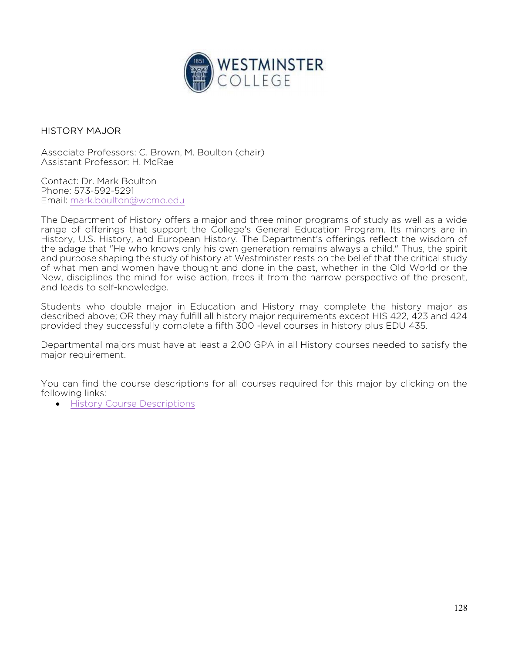

## HISTORY MAJOR

Associate Professors: C. Brown, M. Boulton (chair) Assistant Professor: H. McRae

Contact: Dr. Mark Boulton Phone: 573-592-5291 Email: mark.boulton@wcmo.edu

The Department of History offers a major and three minor programs of study as well as a wide range of offerings that support the College's General Education Program. Its minors are in History, U.S. History, and European History. The Department's offerings reflect the wisdom of the adage that "He who knows only his own generation remains always a child." Thus, the spirit and purpose shaping the study of history at Westminster rests on the belief that the critical study of what men and women have thought and done in the past, whether in the Old World or the New, disciplines the mind for wise action, frees it from the narrow perspective of the present, and leads to self-knowledge.

Students who double major in Education and History may complete the history major as described above; OR they may fulfill all history major requirements except HIS 422, 423 and 424 provided they successfully complete a fifth 300 -level courses in history plus EDU 435.

Departmental majors must have at least a 2.00 GPA in all History courses needed to satisfy the major requirement.

You can find the course descriptions for all courses required for this major by clicking on the following links:

**•** History Course Descriptions